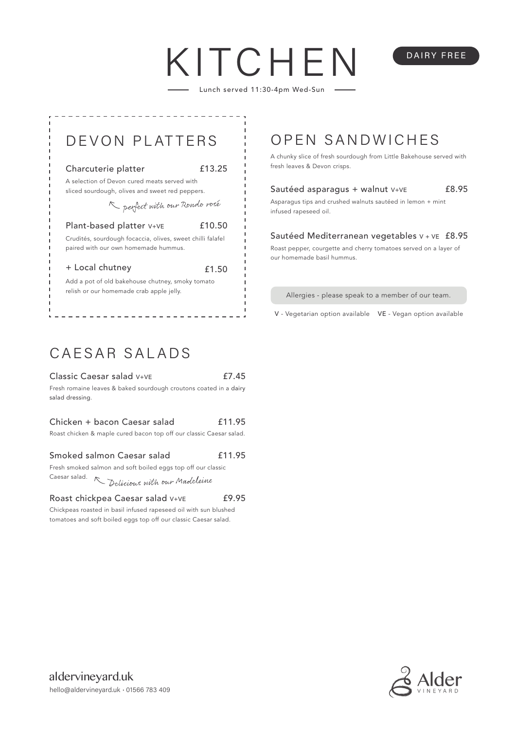# KITCHF Lunch served 11:30-4pm Wed-Sun

### Charcuterie platter

£13.25

A selection of Devon cured meats served with sliced sourdough, olives and sweet red peppers.

perfect with our Rondo rosé

Plant-based platter V+VE £10.50

Crudités, sourdough focaccia, olives, sweet chilli falafel paired with our own homemade hummus.

+ Local chutney

£1.50

Add a pot of old bakehouse chutney, smoky tomato relish or our homemade crab apple jelly.

# DEVON PLATTERS : OPEN SANDWICHES

A chunky slice of fresh sourdough from Little Bakehouse served with fresh leaves & Devon crisps.

DAIRY FREE

### Sautéed asparagus + walnut V+VE £8.95

Asparagus tips and crushed walnuts sautéed in lemon + mint infused rapeseed oil.

### Sautéed Mediterranean vegetables V + VE £8.95

Roast pepper, courgette and cherry tomatoes served on a layer of our homemade basil hummus.

Allergies - please speak to a member of our team.

V - Vegetarian option available VE - Vegan option available

## CAESAR SALADS

| Classic Caesar salad V+VE                                         | £7.45 |
|-------------------------------------------------------------------|-------|
| Fresh romaine leaves & baked sourdough croutons coated in a dairy |       |
| salad dressing.                                                   |       |

### Chicken + bacon Caesar salad £11.95

Roast chicken & maple cured bacon top off our classic Caesar salad.

### Smoked salmon Caesar salad £11.95

Fresh smoked salmon and soft boiled eggs top off our classic Caesar salad. Delicious with our Madeleine

#### Roast chickpea Caesar salad V+VE £9.95

Chickpeas roasted in basil infused rapeseed oil with sun blushed tomatoes and soft boiled eggs top off our classic Caesar salad.